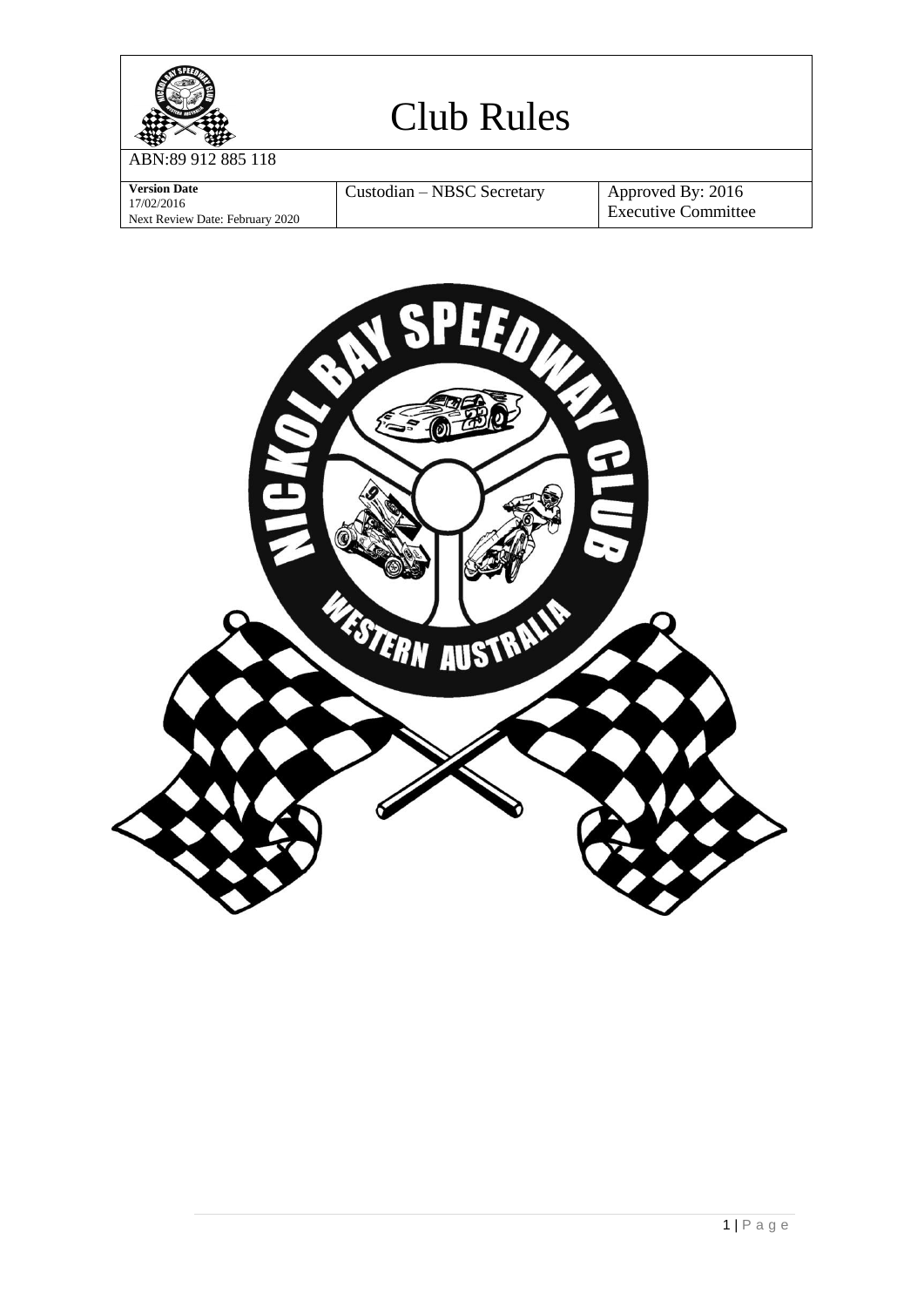

ABN:89 912 885 118

| <b>Version Date</b>             | Custodian – NBSC Secretary | Approved By: 2016          |
|---------------------------------|----------------------------|----------------------------|
| 17/02/2016                      |                            |                            |
| Next Review Date: February 2020 |                            | <b>Executive Committee</b> |

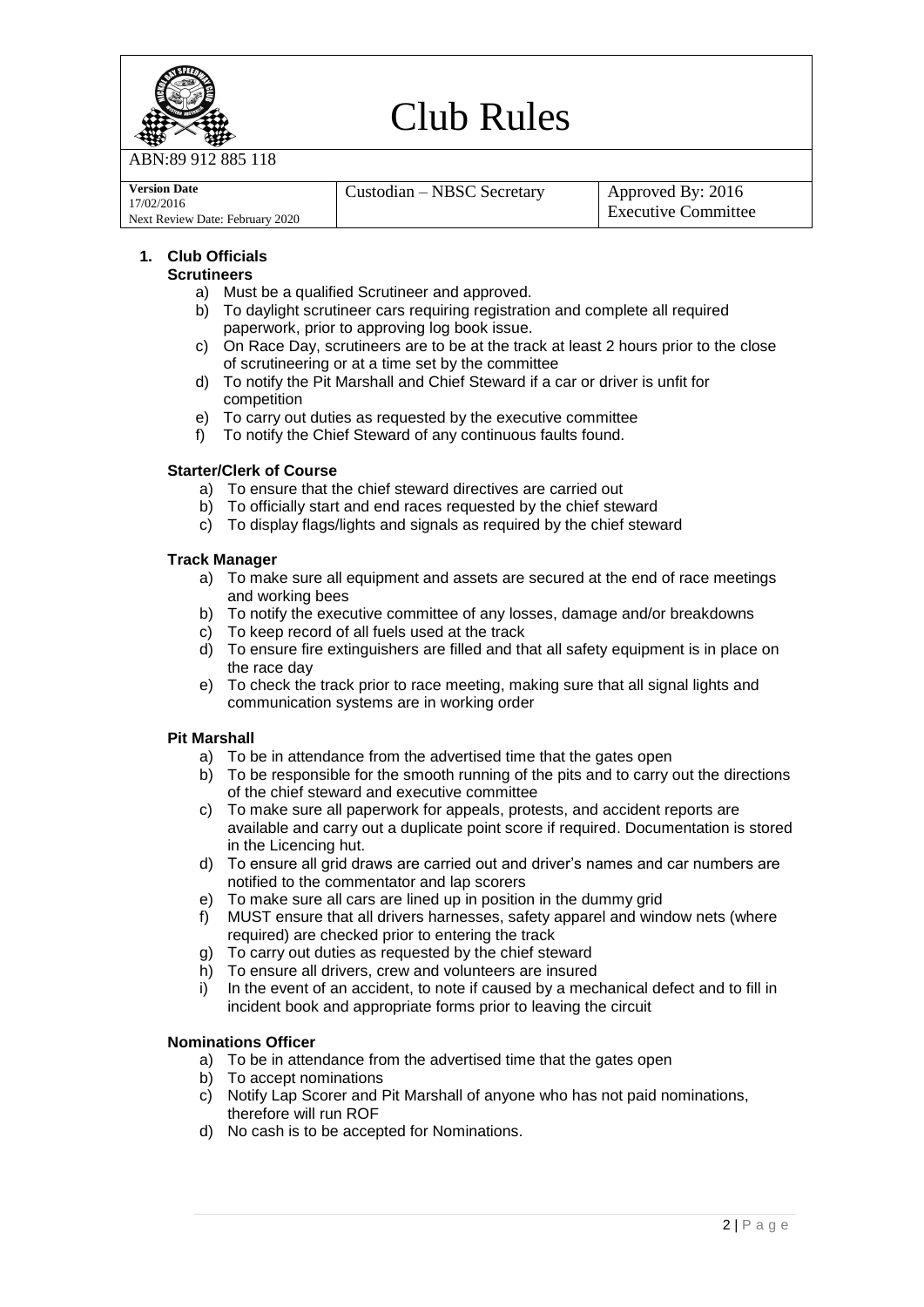

**Version Date**

# Club Rules

ABN:89 912 885 118

| Custodian – NBSC Secretary | Approved By: 2016 |
|----------------------------|-------------------|

17/02/2016 Next Review Date: February 2020 Executive Committee

## **1. Club Officials**

## **Scrutineers**

- a) Must be a qualified Scrutineer and approved.
- b) To daylight scrutineer cars requiring registration and complete all required paperwork, prior to approving log book issue.
- c) On Race Day, scrutineers are to be at the track at least 2 hours prior to the close of scrutineering or at a time set by the committee
- d) To notify the Pit Marshall and Chief Steward if a car or driver is unfit for competition
- e) To carry out duties as requested by the executive committee
- f) To notify the Chief Steward of any continuous faults found.

## **Starter/Clerk of Course**

- a) To ensure that the chief steward directives are carried out
- b) To officially start and end races requested by the chief steward
- c) To display flags/lights and signals as required by the chief steward

## **Track Manager**

- a) To make sure all equipment and assets are secured at the end of race meetings and working bees
- b) To notify the executive committee of any losses, damage and/or breakdowns
- c) To keep record of all fuels used at the track
- d) To ensure fire extinguishers are filled and that all safety equipment is in place on the race day
- e) To check the track prior to race meeting, making sure that all signal lights and communication systems are in working order

#### **Pit Marshall**

- a) To be in attendance from the advertised time that the gates open
- b) To be responsible for the smooth running of the pits and to carry out the directions of the chief steward and executive committee
- c) To make sure all paperwork for appeals, protests, and accident reports are available and carry out a duplicate point score if required. Documentation is stored in the Licencing hut.
- d) To ensure all grid draws are carried out and driver's names and car numbers are notified to the commentator and lap scorers
- e) To make sure all cars are lined up in position in the dummy grid
- f) MUST ensure that all drivers harnesses, safety apparel and window nets (where required) are checked prior to entering the track
- g) To carry out duties as requested by the chief steward
- h) To ensure all drivers, crew and volunteers are insured
- In the event of an accident, to note if caused by a mechanical defect and to fill in incident book and appropriate forms prior to leaving the circuit

#### **Nominations Officer**

- a) To be in attendance from the advertised time that the gates open
- b) To accept nominations
- c) Notify Lap Scorer and Pit Marshall of anyone who has not paid nominations, therefore will run ROF
- d) No cash is to be accepted for Nominations.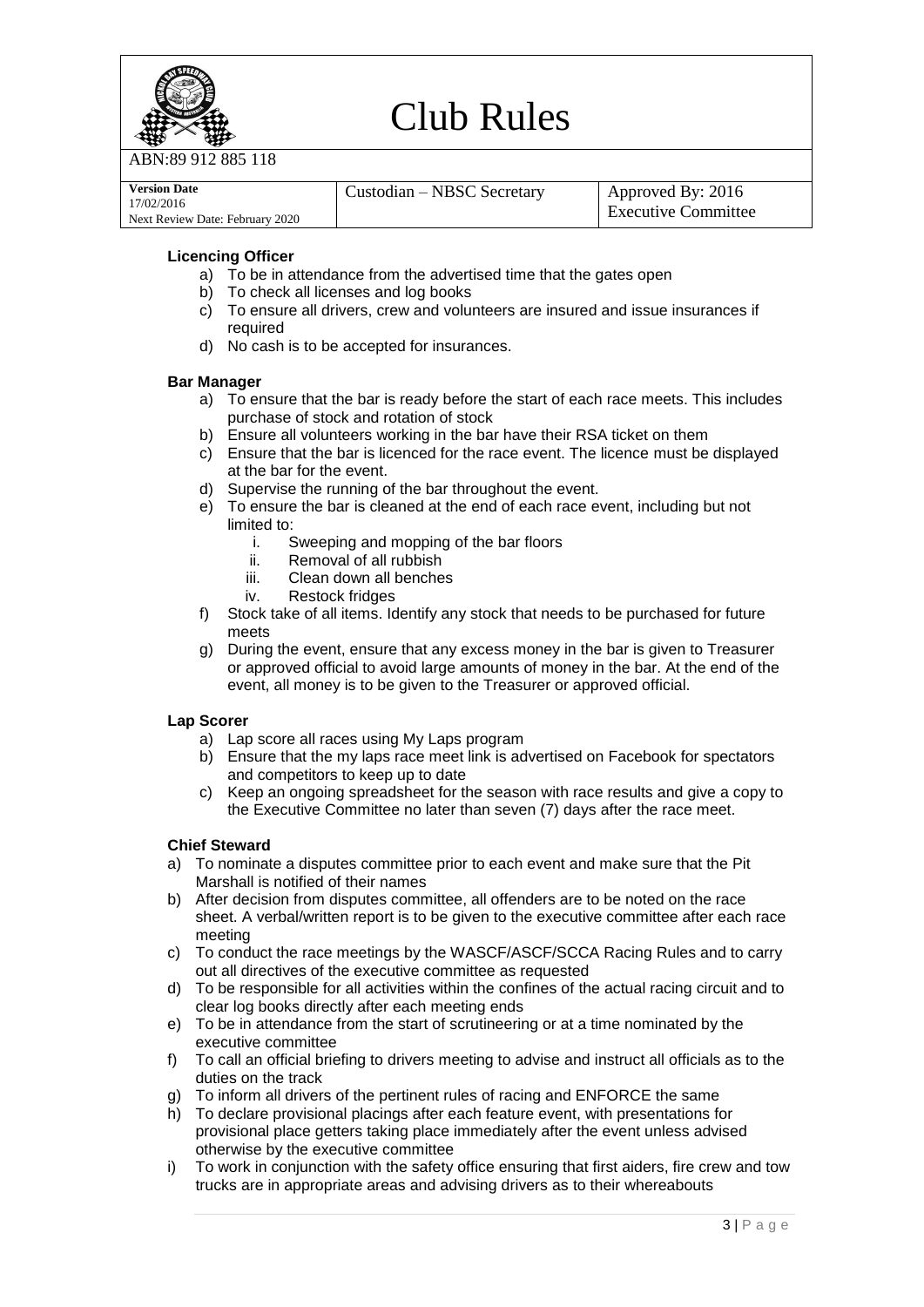

912 885 118

| <b>Version Date</b>             | Custodian – NBSC Secretary | Approved By: 2016   |
|---------------------------------|----------------------------|---------------------|
| 17/02/2016                      |                            |                     |
| Next Review Date: February 2020 |                            | Executive Committee |

## **Licencing Officer**

- a) To be in attendance from the advertised time that the gates open
- b) To check all licenses and log books
- c) To ensure all drivers, crew and volunteers are insured and issue insurances if required
- d) No cash is to be accepted for insurances.

#### **Bar Manager**

- a) To ensure that the bar is ready before the start of each race meets. This includes purchase of stock and rotation of stock
- b) Ensure all volunteers working in the bar have their RSA ticket on them
- c) Ensure that the bar is licenced for the race event. The licence must be displayed at the bar for the event.
- d) Supervise the running of the bar throughout the event.
- e) To ensure the bar is cleaned at the end of each race event, including but not limited to:
	- i. Sweeping and mopping of the bar floors
	- ii. Removal of all rubbish
	- iii. Clean down all benches
	- iv. Restock fridges
- f) Stock take of all items. Identify any stock that needs to be purchased for future meets
- g) During the event, ensure that any excess money in the bar is given to Treasurer or approved official to avoid large amounts of money in the bar. At the end of the event, all money is to be given to the Treasurer or approved official.

#### **Lap Scorer**

- a) Lap score all races using My Laps program
- b) Ensure that the my laps race meet link is advertised on Facebook for spectators and competitors to keep up to date
- c) Keep an ongoing spreadsheet for the season with race results and give a copy to the Executive Committee no later than seven (7) days after the race meet.

#### **Chief Steward**

- a) To nominate a disputes committee prior to each event and make sure that the Pit Marshall is notified of their names
- b) After decision from disputes committee, all offenders are to be noted on the race sheet. A verbal/written report is to be given to the executive committee after each race meeting
- c) To conduct the race meetings by the WASCF/ASCF/SCCA Racing Rules and to carry out all directives of the executive committee as requested
- d) To be responsible for all activities within the confines of the actual racing circuit and to clear log books directly after each meeting ends
- e) To be in attendance from the start of scrutineering or at a time nominated by the executive committee
- f) To call an official briefing to drivers meeting to advise and instruct all officials as to the duties on the track
- g) To inform all drivers of the pertinent rules of racing and ENFORCE the same
- h) To declare provisional placings after each feature event, with presentations for provisional place getters taking place immediately after the event unless advised otherwise by the executive committee
- i) To work in conjunction with the safety office ensuring that first aiders, fire crew and tow trucks are in appropriate areas and advising drivers as to their whereabouts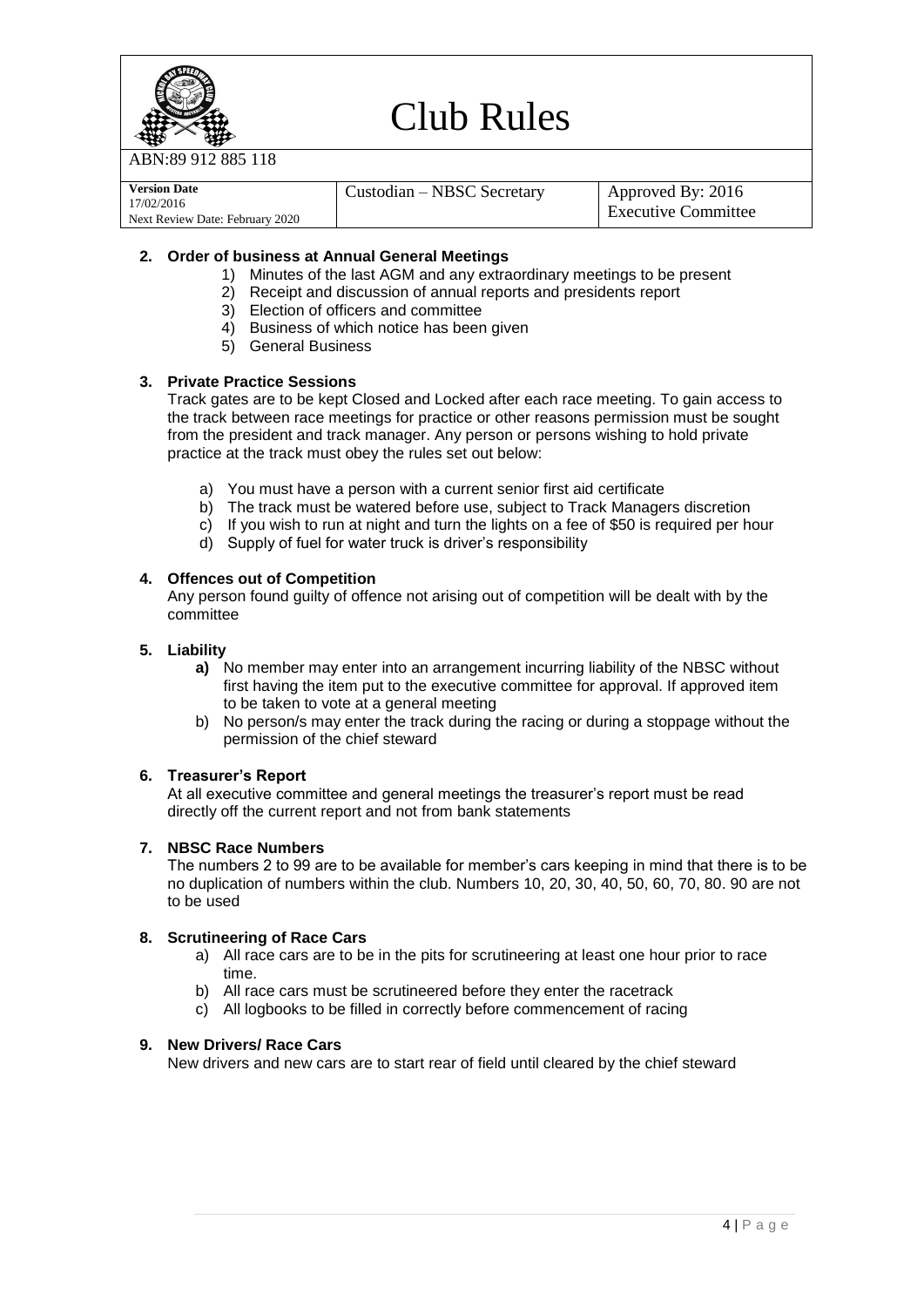

ABN:89 912 885 118

| <b>Version Date</b>             | Custodian – NBSC Secretary | Approved By: $2016$ |
|---------------------------------|----------------------------|---------------------|
| 17/02/2016                      |                            |                     |
| Next Review Date: February 2020 |                            | Executive Committee |

## **2. Order of business at Annual General Meetings**

- 1) Minutes of the last AGM and any extraordinary meetings to be present
- 2) Receipt and discussion of annual reports and presidents report
- 3) Election of officers and committee
- 4) Business of which notice has been given
- 5) General Business

## **3. Private Practice Sessions**

Track gates are to be kept Closed and Locked after each race meeting. To gain access to the track between race meetings for practice or other reasons permission must be sought from the president and track manager. Any person or persons wishing to hold private practice at the track must obey the rules set out below:

- a) You must have a person with a current senior first aid certificate
- b) The track must be watered before use, subject to Track Managers discretion
- c) If you wish to run at night and turn the lights on a fee of \$50 is required per hour
- d) Supply of fuel for water truck is driver's responsibility

## **4. Offences out of Competition**

Any person found guilty of offence not arising out of competition will be dealt with by the committee

## **5. Liability**

- **a)** No member may enter into an arrangement incurring liability of the NBSC without first having the item put to the executive committee for approval. If approved item to be taken to vote at a general meeting
- b) No person/s may enter the track during the racing or during a stoppage without the permission of the chief steward

#### **6. Treasurer's Report**

At all executive committee and general meetings the treasurer's report must be read directly off the current report and not from bank statements

## **7. NBSC Race Numbers**

The numbers 2 to 99 are to be available for member's cars keeping in mind that there is to be no duplication of numbers within the club. Numbers 10, 20, 30, 40, 50, 60, 70, 80. 90 are not to be used

## **8. Scrutineering of Race Cars**

- a) All race cars are to be in the pits for scrutineering at least one hour prior to race time.
- b) All race cars must be scrutineered before they enter the racetrack
- c) All logbooks to be filled in correctly before commencement of racing

#### **9. New Drivers/ Race Cars**

New drivers and new cars are to start rear of field until cleared by the chief steward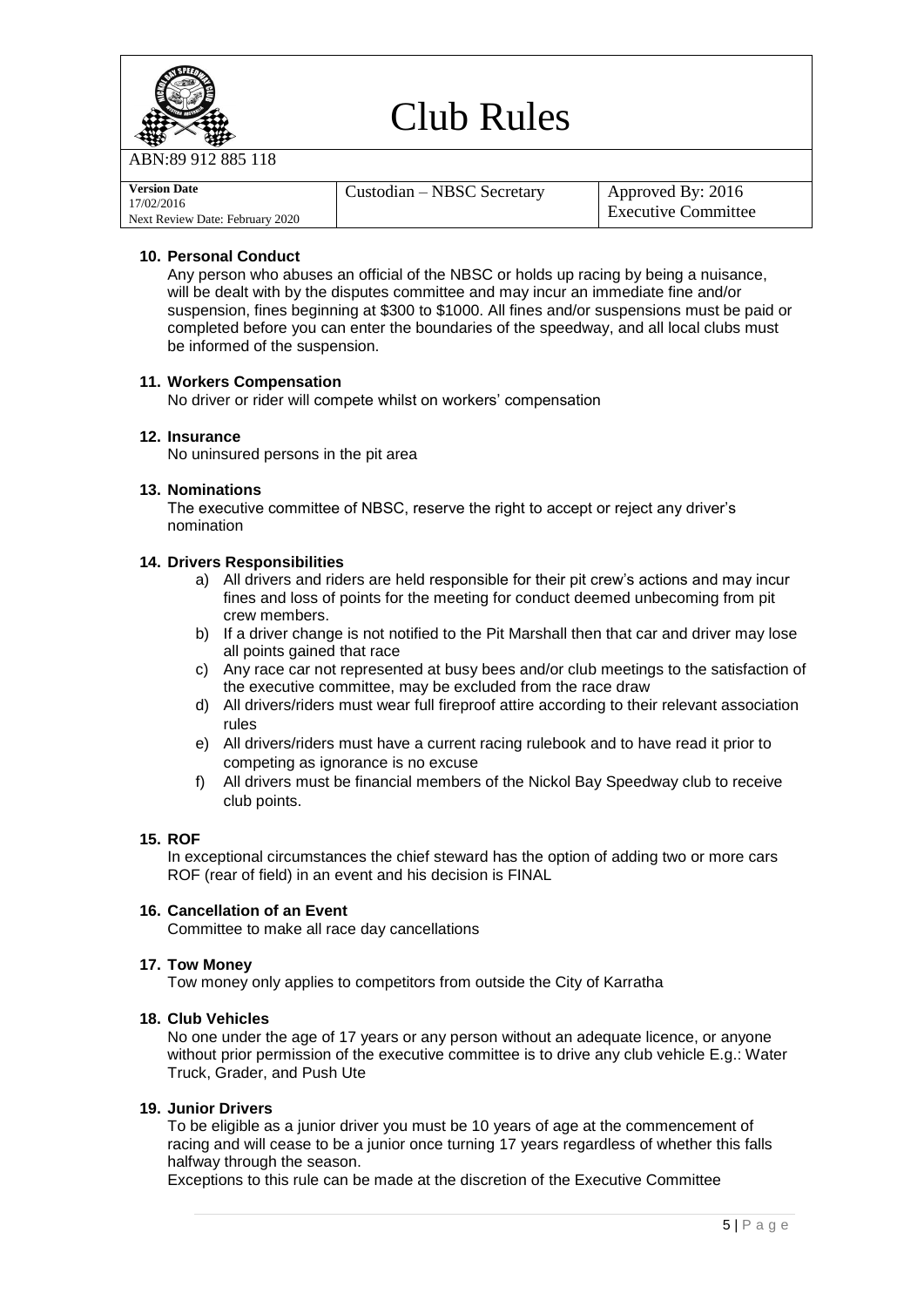

912 885 118

| <b>Version Date</b>             | Custodian – NBSC Secretary | Approved By: 2016          |
|---------------------------------|----------------------------|----------------------------|
| 17/02/2016                      |                            |                            |
| Next Review Date: February 2020 |                            | <b>Executive Committee</b> |

## **10. Personal Conduct**

Any person who abuses an official of the NBSC or holds up racing by being a nuisance, will be dealt with by the disputes committee and may incur an immediate fine and/or suspension, fines beginning at \$300 to \$1000. All fines and/or suspensions must be paid or completed before you can enter the boundaries of the speedway, and all local clubs must be informed of the suspension.

## **11. Workers Compensation**

No driver or rider will compete whilst on workers' compensation

## **12. Insurance**

No uninsured persons in the pit area

#### **13. Nominations**

The executive committee of NBSC, reserve the right to accept or reject any driver's nomination

## **14. Drivers Responsibilities**

- a) All drivers and riders are held responsible for their pit crew's actions and may incur fines and loss of points for the meeting for conduct deemed unbecoming from pit crew members.
- b) If a driver change is not notified to the Pit Marshall then that car and driver may lose all points gained that race
- c) Any race car not represented at busy bees and/or club meetings to the satisfaction of the executive committee, may be excluded from the race draw
- d) All drivers/riders must wear full fireproof attire according to their relevant association rules
- e) All drivers/riders must have a current racing rulebook and to have read it prior to competing as ignorance is no excuse
- f) All drivers must be financial members of the Nickol Bay Speedway club to receive club points.

#### **15. ROF**

In exceptional circumstances the chief steward has the option of adding two or more cars ROF (rear of field) in an event and his decision is FINAL

#### **16. Cancellation of an Event**

Committee to make all race day cancellations

#### **17. Tow Money**

Tow money only applies to competitors from outside the City of Karratha

## **18. Club Vehicles**

No one under the age of 17 years or any person without an adequate licence, or anyone without prior permission of the executive committee is to drive any club vehicle E.g.: Water Truck, Grader, and Push Ute

## **19. Junior Drivers**

To be eligible as a junior driver you must be 10 years of age at the commencement of racing and will cease to be a junior once turning 17 years regardless of whether this falls halfway through the season.

Exceptions to this rule can be made at the discretion of the Executive Committee